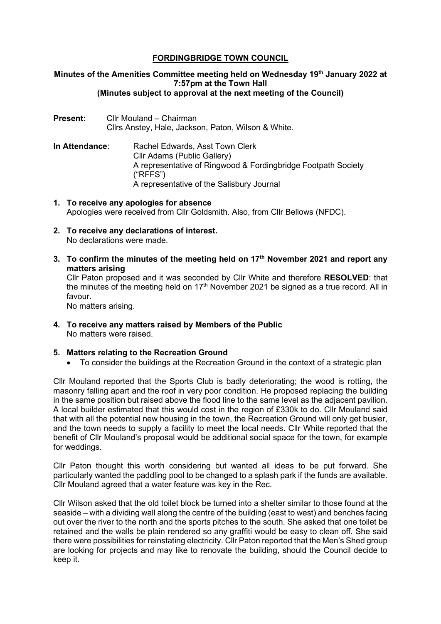# **FORDINGBRIDGE TOWN COUNCIL**

## **Minutes of the Amenities Committee meeting held on Wednesday 19th January 2022 at 7:57pm at the Town Hall (Minutes subject to approval at the next meeting of the Council)**

- **Present:** Cllr Mouland Chairman Cllrs Anstey, Hale, Jackson, Paton, Wilson & White.
- **In Attendance:** Rachel Edwards, Asst Town Clerk Cllr Adams (Public Gallery) A representative of Ringwood & Fordingbridge Footpath Society ("RFFS") A representative of the Salisbury Journal
- **1. To receive any apologies for absence** Apologies were received from Cllr Goldsmith. Also, from Cllr Bellows (NFDC).
- **2. To receive any declarations of interest.** No declarations were made.
- **3. To confirm the minutes of the meeting held on 17th November 2021 and report any matters arising**

Cllr Paton proposed and it was seconded by Cllr White and therefore **RESOLVED**: that the minutes of the meeting held on  $17<sup>th</sup>$  November 2021 be signed as a true record. All in favour.

No matters arising.

**4. To receive any matters raised by Members of the Public** No matters were raised.

## **5. Matters relating to the Recreation Ground**

• To consider the buildings at the Recreation Ground in the context of a strategic plan

Cllr Mouland reported that the Sports Club is badly deteriorating; the wood is rotting, the masonry falling apart and the roof in very poor condition. He proposed replacing the building in the same position but raised above the flood line to the same level as the adjacent pavilion. A local builder estimated that this would cost in the region of £330k to do. Cllr Mouland said that with all the potential new housing in the town, the Recreation Ground will only get busier, and the town needs to supply a facility to meet the local needs. Cllr White reported that the benefit of Cllr Mouland's proposal would be additional social space for the town, for example for weddings.

Cllr Paton thought this worth considering but wanted all ideas to be put forward. She particularly wanted the paddling pool to be changed to a splash park if the funds are available. Cllr Mouland agreed that a water feature was key in the Rec.

Cllr Wilson asked that the old toilet block be turned into a shelter similar to those found at the seaside – with a dividing wall along the centre of the building (east to west) and benches facing out over the river to the north and the sports pitches to the south. She asked that one toilet be retained and the walls be plain rendered so any graffiti would be easy to clean off. She said there were possibilities for reinstating electricity. Cllr Paton reported that the Men's Shed group are looking for projects and may like to renovate the building, should the Council decide to keep it.